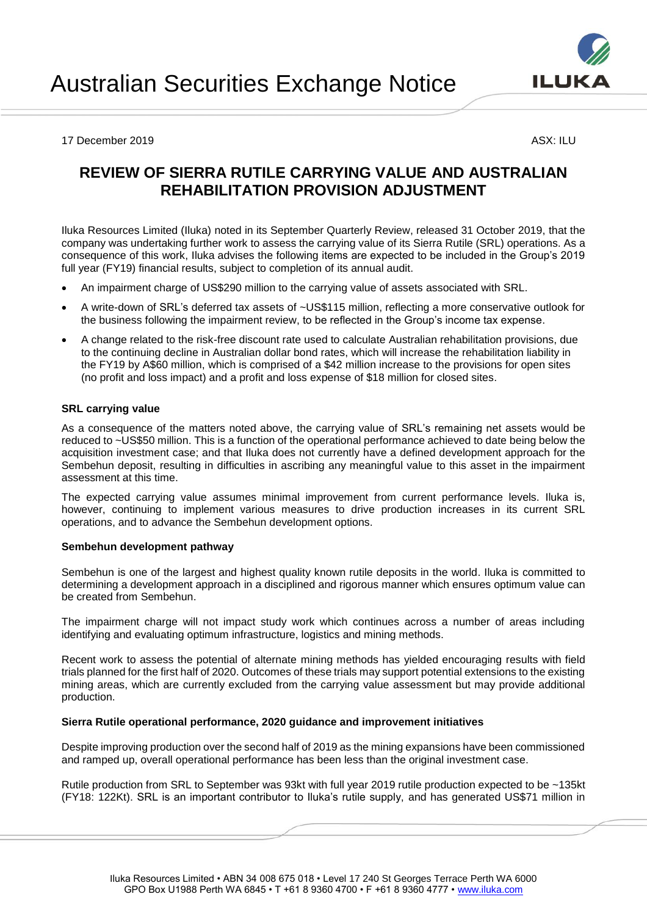

#### 17 December 2019 ASX: ILU

# **REVIEW OF SIERRA RUTILE CARRYING VALUE AND AUSTRALIAN REHABILITATION PROVISION ADJUSTMENT**

Iluka Resources Limited (Iluka) noted in its September Quarterly Review, released 31 October 2019, that the company was undertaking further work to assess the carrying value of its Sierra Rutile (SRL) operations. As a consequence of this work, Iluka advises the following items are expected to be included in the Group's 2019 full year (FY19) financial results, subject to completion of its annual audit.

- An impairment charge of US\$290 million to the carrying value of assets associated with SRL.
- A write-down of SRL's deferred tax assets of ~US\$115 million, reflecting a more conservative outlook for the business following the impairment review, to be reflected in the Group's income tax expense.
- A change related to the risk-free discount rate used to calculate Australian rehabilitation provisions, due to the continuing decline in Australian dollar bond rates, which will increase the rehabilitation liability in the FY19 by A\$60 million, which is comprised of a \$42 million increase to the provisions for open sites (no profit and loss impact) and a profit and loss expense of \$18 million for closed sites.

### **SRL carrying value**

As a consequence of the matters noted above, the carrying value of SRL's remaining net assets would be reduced to ~US\$50 million. This is a function of the operational performance achieved to date being below the acquisition investment case; and that Iluka does not currently have a defined development approach for the Sembehun deposit, resulting in difficulties in ascribing any meaningful value to this asset in the impairment assessment at this time.

The expected carrying value assumes minimal improvement from current performance levels. Iluka is, however, continuing to implement various measures to drive production increases in its current SRL operations, and to advance the Sembehun development options.

### **Sembehun development pathway**

Sembehun is one of the largest and highest quality known rutile deposits in the world. Iluka is committed to determining a development approach in a disciplined and rigorous manner which ensures optimum value can be created from Sembehun.

The impairment charge will not impact study work which continues across a number of areas including identifying and evaluating optimum infrastructure, logistics and mining methods.

Recent work to assess the potential of alternate mining methods has yielded encouraging results with field trials planned for the first half of 2020. Outcomes of these trials may support potential extensions to the existing mining areas, which are currently excluded from the carrying value assessment but may provide additional production.

### **Sierra Rutile operational performance, 2020 guidance and improvement initiatives**

Despite improving production over the second half of 2019 as the mining expansions have been commissioned and ramped up, overall operational performance has been less than the original investment case.

Rutile production from SRL to September was 93kt with full year 2019 rutile production expected to be ~135kt (FY18: 122Kt). SRL is an important contributor to Iluka's rutile supply, and has generated US\$71 million in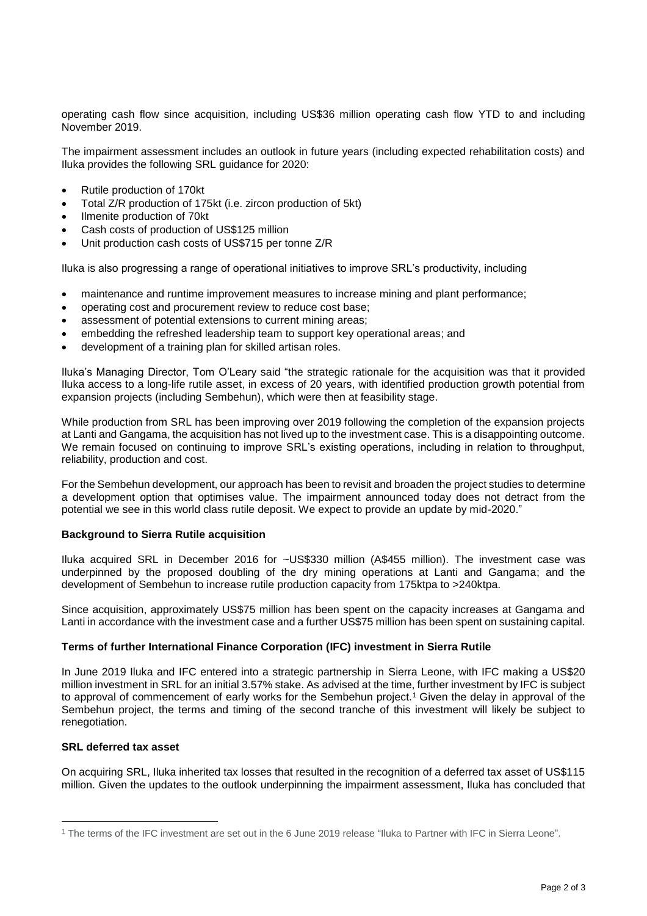operating cash flow since acquisition, including US\$36 million operating cash flow YTD to and including November 2019.

The impairment assessment includes an outlook in future years (including expected rehabilitation costs) and Iluka provides the following SRL guidance for 2020:

- Rutile production of 170kt
- Total Z/R production of 175kt (i.e. zircon production of 5kt)
- Ilmenite production of 70kt
- Cash costs of production of US\$125 million
- Unit production cash costs of US\$715 per tonne Z/R

Iluka is also progressing a range of operational initiatives to improve SRL's productivity, including

- maintenance and runtime improvement measures to increase mining and plant performance;
- operating cost and procurement review to reduce cost base;
- assessment of potential extensions to current mining areas;
- embedding the refreshed leadership team to support key operational areas; and
- development of a training plan for skilled artisan roles.

Iluka's Managing Director, Tom O'Leary said "the strategic rationale for the acquisition was that it provided Iluka access to a long-life rutile asset, in excess of 20 years, with identified production growth potential from expansion projects (including Sembehun), which were then at feasibility stage.

While production from SRL has been improving over 2019 following the completion of the expansion projects at Lanti and Gangama, the acquisition has not lived up to the investment case. This is a disappointing outcome. We remain focused on continuing to improve SRL's existing operations, including in relation to throughput, reliability, production and cost.

For the Sembehun development, our approach has been to revisit and broaden the project studies to determine a development option that optimises value. The impairment announced today does not detract from the potential we see in this world class rutile deposit. We expect to provide an update by mid-2020."

### **Background to Sierra Rutile acquisition**

Iluka acquired SRL in December 2016 for ~US\$330 million (A\$455 million). The investment case was underpinned by the proposed doubling of the dry mining operations at Lanti and Gangama; and the development of Sembehun to increase rutile production capacity from 175ktpa to >240ktpa.

Since acquisition, approximately US\$75 million has been spent on the capacity increases at Gangama and Lanti in accordance with the investment case and a further US\$75 million has been spent on sustaining capital.

### **Terms of further International Finance Corporation (IFC) investment in Sierra Rutile**

In June 2019 Iluka and IFC entered into a strategic partnership in Sierra Leone, with IFC making a US\$20 million investment in SRL for an initial 3.57% stake. As advised at the time, further investment by IFC is subject to approval of commencement of early works for the Sembehun project.<sup>1</sup> Given the delay in approval of the Sembehun project, the terms and timing of the second tranche of this investment will likely be subject to renegotiation.

## **SRL deferred tax asset**

 $\overline{a}$ 

On acquiring SRL, Iluka inherited tax losses that resulted in the recognition of a deferred tax asset of US\$115 million. Given the updates to the outlook underpinning the impairment assessment, Iluka has concluded that

<sup>1</sup> The terms of the IFC investment are set out in the 6 June 2019 release "Iluka to Partner with IFC in Sierra Leone".